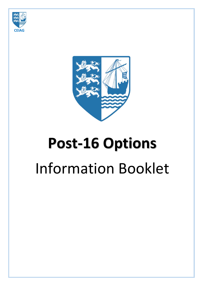



# **Post‐16 Options** Information Booklet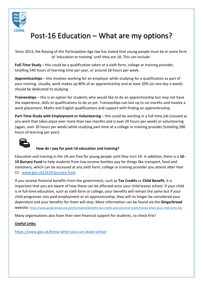

### Post‐16 Education – What are my options?

Since 2013, the Raising of the Participation Age law has stated that young people must be in some form of 'education or training' until they are 18. This can include:

Full-Time Study – this could be a qualification taken at a sixth form, college or training provider, totalling 540 hours of learning time per year, or around 18 hours per week.

**Apprenticeships** – this involves working for an employer while studying for a qualification as part of your training. Usually, work makes up 80% of an apprenticeship and at least 20% (or one day a week) should be dedicated to studying.

**Traineeships** – this is an option for students who would like to do an apprenticeship but may not have the experience, skills or qualifications to do so yet. Traineeships can last up to six months and involve a work placement, Maths and English qualifications and support with finding an apprenticeship.

Part-Time Study with Employment or Volunteering – this could be working in a full-time job (classed as any work that takes place over more than two months and is over 20 hours per week) or volunteering (again, over 20 hours per week) while studying part‐time at a college or training provider (totalling 280 hours of learning per year).



### **How do I pay for post‐16 education and training?**

Education and training in the UK are free for young people until they turn 19. In addition, there is a **16‐ 19 Bursary Fund** to help students from low income families pay for things like transport, food and stationery, which can be accessed at any sixth form, college or training provider you attend after Year 11 ‐ www.gov.uk/1619‐bursary‐fund

If you receive financial benefits from the government, such as **Tax Credits** or **Child Benefit**, it is important that you are aware of how these can be affected once your child leaves school. If your child is in full‐time education, such as sixth form or college, your benefits will remain the same but if your child progresses into paid employment or an apprenticeship, they will no longer be considered your dependant and your benefits for them will stop. More information can be found via the **Gingerbread** website: https://www.gingerbread.org.uk/information/benefits‐tax‐credits‐and‐universal‐credit/money‐when‐your‐child‐turns‐16/

Many organisations also have their own financial support for students, so check first!

### **Useful Links:**

https://www.gov.uk/know‐when‐you‐can‐leave‐school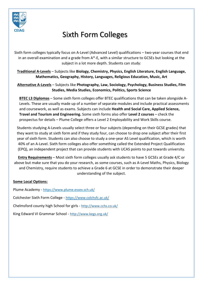

### **CEIAG**  Sixth Form Colleges

Sixth form colleges typically focus on A‐Level (Advanced Level) qualifications – two‐year courses that end in an overall examination and a grade from A\*‐E, with a similar structure to GCSEs but looking at the subject in a lot more depth. Students can study:

**Traditional A‐Levels** – Subjects like **Biology, Chemistry, Physics, English Literature, English Language, Mathematics, Geography, History, Languages, Religious Education, Music, Art** 

**Alternative A‐Levels** – Subjects like **Photography, Law, Sociology, Psychology, Business Studies, Film Studies, Media Studies, Economics, Politics, Sports Science** 

**BTEC L3 Diplomas** – Some sixth form colleges offer BTEC qualifications that can be taken alongside A‐ Levels. These are usually made up of a number of separate modules and include practical assessments and coursework, as well as exams. Subjects can include **Health and Social Care, Applied Science, Travel and Tourism and Engineering.** Some sixth forms also offer **Level 2 courses** – check the prospectus for details – Plume College offers a Level 2 Employability and Work Skills course.

Students studying A‐Levels usually select three or four subjects (depending on their GCSE grades) that they want to study at sixth form and if they study four, can choose to drop one subject after their first year of sixth form. Students can also choose to study a one‐year AS Level qualification, which is worth 40% of an A‐Level. Sixth form colleges also offer something called the Extended Project Qualification (EPQ), an independent project that can provide students with UCAS points to put towards university.

**Entry Requirements** – Most sixth form colleges usually ask students to have 5 GCSEs at Grade 4/C or above but make sure that you do your research, as some courses, such as A‐Level Maths, Physics, Biology and Chemistry, require students to achieve a Grade 6 at GCSE in order to demonstrate their deeper understanding of the subject.

#### **Some Local Options:**

Plume Academy ‐ https://www.plume.essex.sch.uk/ Colchester Sixth Form College ‐ https://www.colchsfc.ac.uk/ Chelmsford county high School for girls ‐ http://www.cchs.co.uk/ King Edward VI Grammar School ‐ http://www.kegs.org.uk/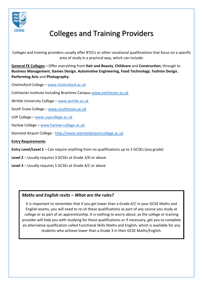

### **CEIAG**  Colleges and Training Providers

Colleges and training providers usually offer BTECs or other vocational qualifications that focus on a specific area of study in a practical way, which can include:

**General FE Colleges –** Offer everything from **Hair and Beauty**, **Childcare** and **Construction**, through to **Business Management**, **Games Design**, **Automotive Engineering, Food Technology**, **Fashion Design**, **Performing Arts** and **Photography**:

Chelmsford College – www.chelmsford.ac.uk

Colchester Institute including Braintree Campus www.colchester.ac.uk

Writtle University College – www.writtle.ac.uk

South Essex College – www.southessex.ac.uk

USP College – www.uspcollege.ac.uk

Harlow College – www.harlow‐college.ac.uk

Stansted Airport College ‐ http://www.stanstedairportcollege.ac.uk

**Entry Requirements**:

**Entry Level/Level 1** – Can require anything from no qualifications up to 3 GCSEs (any grade)

**Level 2** – Usually requires 3 GCSEs at Grade 3/D or above

**Level 3** – Usually requires 5 GCSEs at Grade 4/C or above

### *Maths and English resits – What are the rules?*

It is important to remember that if you get lower than a Grade 4/C in your GCSE Maths and English exams, you will need to re‐sit these qualifications as part of any course you study at college or as part of an apprenticeship. It is nothing to worry about, as the college or training provider will help you with studying for these qualifications or if necessary, get you to complete an alternative qualification called Functional Skills Maths and English, which is available for any students who achieve lower than a Grade 3 in their GCSE Maths/English.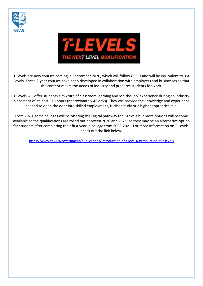



T Levels are new courses coming in September 2020, which will follow GCSEs and will be equivalent to 3 A Levels. These 2‐year courses have been developed in collaboration with employers and businesses so that the content meets the needs of industry and prepares students for work.

T Levels will offer students a mixture of classroom learning and 'on‐the‐job' experience during an industry placement of at least 315 hours (approximately 45 days). They will provide the knowledge and experience needed to open the door into skilled employment, further study or a higher apprenticeship.

From 2020, some colleges will be offering the Digital pathway for T‐Levels but more options will become available as the qualifications are rolled out between 2020 and 2021, so they may be an alternative option for students after completing their first year in college from 2020-2021. For more information on T-Levels, check out the link below:

https://www.gov.uk/government/publications/introduction‐of‐t‐levels/introduction‐of‐t‐levels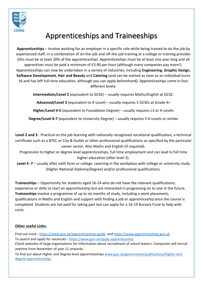

### Apprenticeships and Traineeships

**Apprenticeships** – Involve working for an employer in a specific role while being trained to do the job by experienced staff, in a combination of on-the-job and off-the-job training at a college or training provider (this must be at least 20% of the apprenticeship). Apprenticeships must be at least one year long and all apprentices must be paid a minimum of £3.90 per hour (although many companies pay more!). Apprenticeships can now be undertaken in a variety of industries, including **Engineering**, **Graphic Design**, **Software Development**, **Hair and Beauty** and **Catering** (and can be started as soon as an individual turns 16 and has left full‐time education, although you can apply beforehand). Apprenticeships come in four different levels:

**Intermediate/Level 2** (equivalent to GCSE) – usually requires Maths/English at GCSE.

**Advanced/Level 3** (equivalent to A‐Level) – usually requires 5 GCSEs at Grade 4+

**Higher/Level 4‐5** (equivalent to Foundation Degree) – usually requires L3 or A‐Levels

**Degree/Level 6‐7** (equivalent to University Degree) – usually requires 3 A‐Levels or similar

**Level 2 and 3** ‐ Practical on the job learning with nationally recognised vocational qualification, a technical certificate such as a BTEC or City & Guilds or other professional qualifications as specified by the particular career sector. Also Maths and English (if required).

Progression to higher or degree level apprenticeships, full time employment and can lead to full time higher education (after level 3).

Level 4 -7 – usually after sixth form or college. Learning in the workplace with college or university study (Higher National Diploma/Degree) and/or professional qualifications.

**Traineeships** – Opportunity for students aged 16‐24 who do not have the relevant qualifications, experience or skills to start an apprenticeship but are interested in progressing on to one in the future. **Traineeships** involve a programme of up to six months of study, including a work placement, qualifications in Maths and English and support with finding a job or apprenticeship once the course is completed. Students are not paid for taking part but can apply for a 16‐19 Bursary Fund to help with costs.

### **Other useful Links:**

Find out more ‐ https://www.gov.uk/apprenticeships‐guide and https://www.apprenticeships.gov.uk To search and apply for vacancies ‐ https://www.gov.uk/apply‐apprenticeship

Check websites of large organisations for information about recruitment of school leavers. Companies will recruit anytime from November of year 11 onwards.

To find out about Higher and Degree level apprenticeships www.gov.uk/government/publications/higher‐and‐ degree‐apprenticeships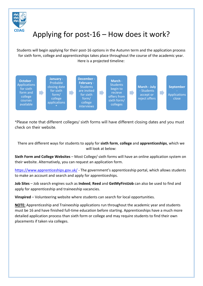

### **CEIAG** Applying for post-16 – How does it work?

Students will begin applying for their post‐16 options in the Autumn term and the application process for sixth form, college and apprenticeships takes place throughout the course of the academic year. Here is a projected timeline:



\*Please note that different colleges/ sixth forms will have different closing dates and you must check on their website.

There are different ways for students to apply for **sixth form**, **college** and **apprenticeships**, which we will look at below:

**Sixth Form and College Websites** – Most College/ sixth forms will have an online application system on their website. Alternatively, you can request an application form.

https://www.apprenticeships.gov.uk/ - The government's apprenticeship portal, which allows students to make an account and search and apply for apprenticeships.

**Job Sites** – Job search engines such as **Indeed**, **Reed** and **GetMyFirstJob** can also be used to find and apply for apprenticeship and traineeship vacancies.

**Vinspired** – Volunteering website where students can search for local opportunities.

**NOTE:** Apprenticeship and Traineeship applications run throughout the academic year and students must be 16 and have finished full‐time education before starting. Apprenticeships have a much more detailed application process than sixth form or college and may require students to find their own placements if taken via colleges.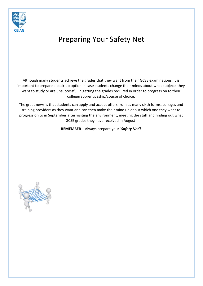

### Preparing Your Safety Net

Although many students achieve the grades that they want from their GCSE examinations, it is important to prepare a back‐up option in case students change their minds about what subjects they want to study or are unsuccessful in getting the grades required in order to progress on to their college/apprenticeship/course of choice.

The great news is that students can apply and accept offers from as many sixth forms, colleges and training providers as they want and can then make their mind up about which one they want to progress on to in September after visiting the environment, meeting the staff and finding out what GCSE grades they have received in August!

**REMEMBER** – Always prepare your '*Safety Net'*!

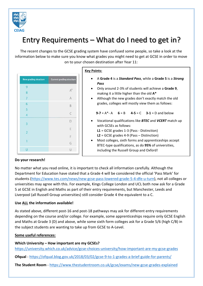

### Entry Requirements – What do I need to get in?

The recent changes to the GCSE grading system have confused some people, so take a look at the information below to make sure you know what grades you might need to get at GCSE in order to move on to your chosen destination after Year 11:

| <b>New grading structure</b> | <b>Current grading structure</b> |  |
|------------------------------|----------------------------------|--|
| 9                            |                                  |  |
| 8                            |                                  |  |
|                              | A                                |  |
| 6                            | B                                |  |
| 5                            |                                  |  |
| 4                            | C<br>**********                  |  |
| R                            | D                                |  |
|                              | E                                |  |
| $\overline{2}$               | F                                |  |
|                              | G                                |  |
| U                            | U                                |  |

#### **Key Points:**

- A **Grade 4** is a *Standard Pass*, while a **Grade 5** is a *Strong Pass*
- Only around 2‐3% of students will achieve a **Grade 9**, making it a little higher than the old **A\***
- Although the new grades don't exactly match the old grades, colleges will mostly view them as follows:

#### **9‐7** = A\*‐ A **6** = B **4‐5** = C **3‐1** = D and below

- Vocational qualifications like *BTEC* and *VCERT* match up with GCSEs as follows:
	- **L1** = GCSE grades 1‐3 (Pass ‐ Distinction)
	- **L2** = GCSE grades 4‐9 (Pass Distinction)
- Most colleges, sixth forms and apprenticeships accept BTEC‐type qualifications, as do **95%** of universities, including the Russell Group and Oxford!

#### **Do your research!**

No matter what you read online, it is important to check all information carefully. Although the Department for Education have stated that a Grade 4 will be considered the official 'Pass Mark' for students (https://www.tes.com/news/new‐gcse‐pass‐lowered‐grade‐5‐4‐dfe‐u‐turn), not all colleges or universities may agree with this. For example, Kings College London and UCL both now ask for a Grade 5 at GCSE in English and Maths as part of their entry requirements, but Manchester, Leeds and Liverpool (all Russell Group universities) still consider Grade 4 the equivalent to a C.

### **Use ALL the information available!**

As stated above, different post‐16 and post‐18 pathways may ask for different entry requirements depending on the course and/or college. For example, some apprenticeships require only GCSE English and Maths at Grade 3 (D) and above, while some sixth form colleges ask for a Grade 5/6 (high C/B) in the subject students are wanting to take up from GCSE to A‐Level.

#### **Some useful references:**

**Which University – How important are my GCSEs?** https://university.which.co.uk/advice/gcse‐choices‐university/how‐important‐are‐my‐gcse‐grades

**Ofqual** ‐ https://ofqual.blog.gov.uk/2018/03/02/gcse‐9‐to‐1‐grades‐a‐brief‐guide‐for‐parents/

**The Student Room** ‐ https://www.thestudentroom.co.uk/gcse/exams/new‐gcse‐grades‐explained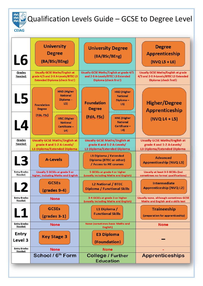

## 薬の Qualification Levels Guide – GCSE to Degree Level

| L <sub>6</sub><br>Grades       | <b>University</b><br><b>Degree</b><br>(BA/BSc/BEng)<br><b>Usually GCSE Maths/English at</b>                                                                                                  | <b>University Degree</b><br>(BA/BSc/BEng)<br><b>Usually GCSE Maths/English at grade 4/5</b>                                                                                  | <b>Degree</b><br>Apprenticeship<br>$(NVQ L5 + L6)$<br><b>Usually GCSE Maths/English at grade</b>        |
|--------------------------------|----------------------------------------------------------------------------------------------------------------------------------------------------------------------------------------------|------------------------------------------------------------------------------------------------------------------------------------------------------------------------------|---------------------------------------------------------------------------------------------------------|
| Needed:                        | grade 4/5 and 2-3 A-Levels/BTEC L3<br><b>Extended Diploma (check first!)</b>                                                                                                                 | and 2-3 A-Levels/BTEC L3 Extended<br><b>Diploma (check first!)</b>                                                                                                           | 4/5 and 2-3 A-Levels/BTEC L3 Extended<br>Diploma (check first!)                                         |
| L5<br>L4                       | <b>HND (Higher</b><br><b>National</b><br>Diploma-<br>L5)<br><b>Foundation</b><br><b>Degree</b><br>(FdA, FSc)<br><b>HNC</b> (Higher<br><b>National</b><br>Certificate-<br>$\lfloor 4 \rfloor$ | <b>HND (Higher</b><br><b>National</b><br>Diploma-<br><b>Foundation</b><br>L5)<br><b>Degree</b><br>(FdA, FSc)<br><b>HNC</b> (Higher<br><b>National</b><br>Certificate-<br>L4) | <b>Higher/Degree</b><br>Apprenticeship<br>(NVQ L4 + L5)                                                 |
| Grades<br>Needed:              | <b>Usually GCSE Maths/English at</b><br>grade 4 and 1-2 A-Levels/<br><b>L3 Diploma/Extended Diploma</b>                                                                                      | <b>Usually GCSE Maths/English at</b><br>grade 4 and 1-2 A-Levels/<br><b>L3 Diploma/Extended Diploma</b>                                                                      | <b>Usually GCSE Maths/English at</b><br>grade 4 and 1-2 A-Levels/<br><b>L3 Diploma/Extended Diploma</b> |
| L3                             | <b>A-Levels</b>                                                                                                                                                                              | <b>L3 Diploma / Extended</b><br><b>Diploma (BTEC or other)</b><br>/ Access to HE courses                                                                                     | <b>Advanced</b><br><b>Apprenticeship (NVQ L3)</b>                                                       |
| <b>Entry Grades</b><br>Needed: | <b>Usually 5 GCSEs at grade 5 or</b><br>higher, including Maths and English                                                                                                                  | 5 GCSEs at grade 4 or higher<br>(usually including Maths and English)                                                                                                        | <b>Usually at least 3-5 GCSEs (but</b><br>sometimes no formal qualifications)                           |
| ◢                              | <b>GCSEs</b><br>(grades 9-4)                                                                                                                                                                 | <b>L2 National / BTEC</b><br><b>Diploma / Functional Skills</b>                                                                                                              | <b>Intermediate</b><br><b>Apprenticeship (NVQ L2)</b>                                                   |
| <b>Entry Grades</b><br>Needed: | <b>None</b>                                                                                                                                                                                  | 3-4 GCSEs at grade 3 or higher<br>(usually including Maths and English)                                                                                                      | Usually none, although sometimes GCSE<br><b>Maths and English and a skills test</b>                     |
| L1                             | <b>GCSEs</b><br>$\left($ grades 3-1 $\right)$                                                                                                                                                | L1 Diploma /<br><b>Functional Skills</b>                                                                                                                                     | <b>Traineeship</b><br>(preparation for apprenticeship)                                                  |
| <b>Entry Grades</b><br>Needed: | <b>None</b>                                                                                                                                                                                  | <b>None (sometimes basic Maths and</b><br>English)                                                                                                                           | <b>None</b>                                                                                             |
| Entry<br>Level 3               | <b>Key Stage 3</b>                                                                                                                                                                           | <b>E3 Diploma</b><br>(Foundation)                                                                                                                                            |                                                                                                         |
| <b>Entry Grades</b><br>Needed: | <b>None</b>                                                                                                                                                                                  | <b>None</b>                                                                                                                                                                  |                                                                                                         |
|                                | School / 6 <sup>th</sup> Form                                                                                                                                                                | <b>College / Further</b><br><b>Education</b>                                                                                                                                 | <b>Apprenticeships</b>                                                                                  |
|                                |                                                                                                                                                                                              |                                                                                                                                                                              |                                                                                                         |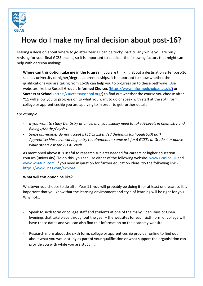

### How do I make my final decision about post‐16?

Making a decision about where to go after Year 11 can be tricky, particularly while you are busy revising for your final GCSE exams, so it is important to consider the following factors that might can help with decision making:

**Where can this option take me in the future?** If you are thinking about a destination after post‐16, such as university or higher/degree apprenticeships, it is important to know whether the qualifications you are taking from 16‐18 can help you to progress on to these pathways. Use websites like the Russell Group's **Informed Choices** (https://www.informedchoices.ac.uk/) or **Success at School** (https://successatschool.org/) to find out whether the course you choose after Y11 will allow you to progress on to what you want to do or speak with staff at the sixth form, college or apprenticeship you are applying to in order to get further details!

#### *For example:*

- ‐ *If you want to study Dentistry at university, you usually need to take A‐Levels in Chemistry and Biology/Maths/Physics.*
- ‐ *Some universities do not accept BTEC L3 Extended Diplomas (although 95% do!)*
- ‐ *Apprenticeships have varying entry requirements some ask for 5 GCSEs at Grade 4 or above while others ask for 2‐3 A‐Levels*

As mentioned above it is useful to research subjects needed for careers or higher education courses (university). To do this, you can use either of the following website‐ www.ucas.co.uk and www.whatuni.com. If you need inspiration for further education ideas, try the following link https://www.ucas.com/explore

#### **What will this option be like?**

Whatever you choose to do after Year 11, you will probably be doing it for at least one year, so it is important that you know that the learning environment and style of learning will be right for you. Why not…

- ‐ Speak to sixth form or college staff and students at one of the many Open Days or Open Evenings that take place throughout the year – the websites for each sixth form or college will have these dates and you can also find this information on the academy website.
- Research more about the sixth form, college or apprenticeship provider online to find out about what you would study as part of your qualification or what support the organisation can provide you with while you are studying.